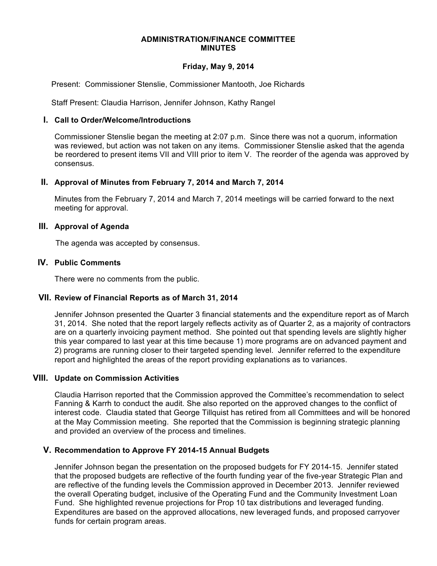#### **ADMINISTRATION/FINANCE COMMITTEE MINUTES**

### **Friday, May 9, 2014**

Present: Commissioner Stenslie, Commissioner Mantooth, Joe Richards

Staff Present: Claudia Harrison, Jennifer Johnson, Kathy Rangel

### **I. Call to Order/Welcome/Introductions**

Commissioner Stenslie began the meeting at 2:07 p.m. Since there was not a quorum, information was reviewed, but action was not taken on any items. Commissioner Stenslie asked that the agenda be reordered to present items VII and VIII prior to item V. The reorder of the agenda was approved by consensus.

### **II. Approval of Minutes from February 7, 2014 and March 7, 2014**

Minutes from the February 7, 2014 and March 7, 2014 meetings will be carried forward to the next meeting for approval.

### **III. Approval of Agenda**

The agenda was accepted by consensus.

### **IV. Public Comments**

There were no comments from the public.

# **VII. Review of Financial Reports as of March 31, 2014**

Jennifer Johnson presented the Quarter 3 financial statements and the expenditure report as of March 31, 2014. She noted that the report largely reflects activity as of Quarter 2, as a majority of contractors are on a quarterly invoicing payment method. She pointed out that spending levels are slightly higher this year compared to last year at this time because 1) more programs are on advanced payment and 2) programs are running closer to their targeted spending level. Jennifer referred to the expenditure report and highlighted the areas of the report providing explanations as to variances.

#### **VIII. Update on Commission Activities**

Claudia Harrison reported that the Commission approved the Committee's recommendation to select Fanning & Karrh to conduct the audit. She also reported on the approved changes to the conflict of interest code. Claudia stated that George Tillquist has retired from all Committees and will be honored at the May Commission meeting. She reported that the Commission is beginning strategic planning and provided an overview of the process and timelines.

# **V. Recommendation to Approve FY 2014-15 Annual Budgets**

Jennifer Johnson began the presentation on the proposed budgets for FY 2014-15. Jennifer stated that the proposed budgets are reflective of the fourth funding year of the five-year Strategic Plan and are reflective of the funding levels the Commission approved in December 2013. Jennifer reviewed the overall Operating budget, inclusive of the Operating Fund and the Community Investment Loan Fund. She highlighted revenue projections for Prop 10 tax distributions and leveraged funding. Expenditures are based on the approved allocations, new leveraged funds, and proposed carryover funds for certain program areas.